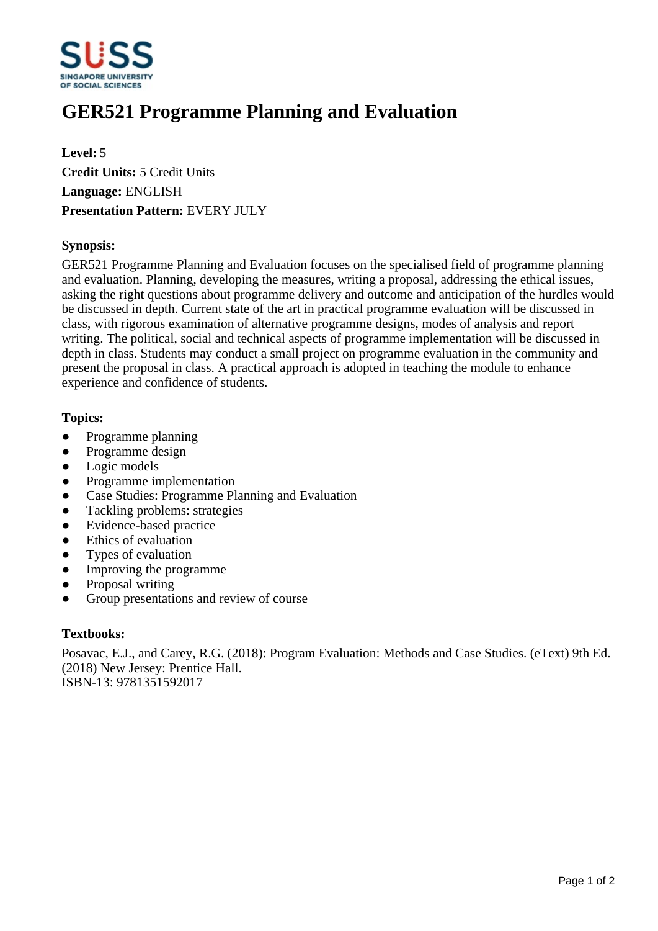

# **GER521 Programme Planning and Evaluation**

**Level:** 5 **Credit Units:** 5 Credit Units **Language:** ENGLISH **Presentation Pattern:** EVERY JULY

## **Synopsis:**

GER521 Programme Planning and Evaluation focuses on the specialised field of programme planning and evaluation. Planning, developing the measures, writing a proposal, addressing the ethical issues, asking the right questions about programme delivery and outcome and anticipation of the hurdles would be discussed in depth. Current state of the art in practical programme evaluation will be discussed in class, with rigorous examination of alternative programme designs, modes of analysis and report writing. The political, social and technical aspects of programme implementation will be discussed in depth in class. Students may conduct a small project on programme evaluation in the community and present the proposal in class. A practical approach is adopted in teaching the module to enhance experience and confidence of students.

## **Topics:**

- Programme planning
- Programme design
- Logic models
- Programme implementation
- Case Studies: Programme Planning and Evaluation
- Tackling problems: strategies
- Evidence-based practice
- Ethics of evaluation
- Types of evaluation
- Improving the programme
- Proposal writing
- Group presentations and review of course

#### **Textbooks:**

Posavac, E.J., and Carey, R.G. (2018): Program Evaluation: Methods and Case Studies. (eText) 9th Ed. (2018) New Jersey: Prentice Hall. ISBN-13: 9781351592017